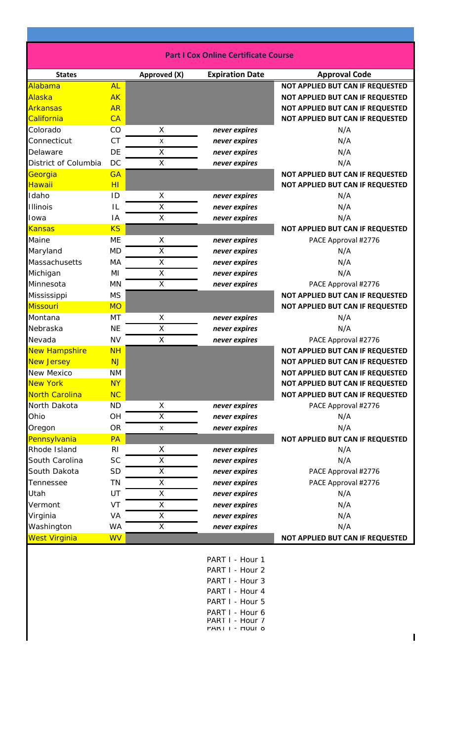| <b>Part I Cox Online Certificate Course</b> |                |                    |                        |                                  |
|---------------------------------------------|----------------|--------------------|------------------------|----------------------------------|
| <b>States</b>                               |                | Approved (X)       | <b>Expiration Date</b> | <b>Approval Code</b>             |
| Alabama                                     | <b>AL</b>      |                    |                        | NOT APPLIED BUT CAN IF REQUESTED |
| Alaska                                      | <b>AK</b>      |                    |                        | NOT APPLIED BUT CAN IF REQUESTED |
| Arkansas                                    | <b>AR</b>      |                    |                        | NOT APPLIED BUT CAN IF REQUESTED |
| California                                  | CA             |                    |                        | NOT APPLIED BUT CAN IF REQUESTED |
| Colorado                                    | CO             | X                  | never expires          | N/A                              |
| Connecticut                                 | <b>CT</b>      | X                  | never expires          | N/A                              |
| Delaware                                    | <b>DE</b>      | $\pmb{\mathsf{X}}$ | never expires          | N/A                              |
| District of Columbia                        | DC             | X                  | never expires          | N/A                              |
| Georgia                                     | <b>GA</b>      |                    |                        | NOT APPLIED BUT CAN IF REQUESTED |
| Hawaii                                      | H <sub>l</sub> |                    |                        | NOT APPLIED BUT CAN IF REQUESTED |
| Idaho                                       | ID             | X                  | never expires          | N/A                              |
| <b>Illinois</b>                             | IL             | $\mathsf X$        | never expires          | N/A                              |
| Iowa                                        | IA             | X                  | never expires          | N/A                              |
| <b>Kansas</b>                               | <b>KS</b>      |                    |                        | NOT APPLIED BUT CAN IF REQUESTED |
| Maine                                       | <b>ME</b>      | X                  | never expires          | PACE Approval #2776              |
| Maryland                                    | <b>MD</b>      | X                  | never expires          | N/A                              |
| Massachusetts                               | MA             | Χ                  | never expires          | N/A                              |
| Michigan                                    | ΜI             | X                  | never expires          | N/A                              |
| Minnesota                                   | MN             | X                  | never expires          | PACE Approval #2776              |
| Mississippi                                 | <b>MS</b>      |                    |                        | NOT APPLIED BUT CAN IF REQUESTED |
| <b>Missouri</b>                             | <b>MO</b>      |                    |                        | NOT APPLIED BUT CAN IF REQUESTED |
| Montana                                     | MT             | X                  | never expires          | N/A                              |
| Nebraska                                    | <b>NE</b>      | X                  | never expires          | N/A                              |
| Nevada                                      | <b>NV</b>      | X                  | never expires          | PACE Approval #2776              |
| New Hampshire                               | <b>NH</b>      |                    |                        | NOT APPLIED BUT CAN IF REQUESTED |
| <b>New Jersey</b>                           | <b>NJ</b>      |                    |                        | NOT APPLIED BUT CAN IF REQUESTED |
| <b>New Mexico</b>                           | <b>NM</b>      |                    |                        | NOT APPLIED BUT CAN IF REQUESTED |
| <b>New York</b>                             | <b>NY</b>      |                    |                        | NOT APPLIED BUT CAN IF REQUESTED |
| North Carolina                              | <b>NC</b>      |                    |                        | NOT APPLIED BUT CAN IF REQUESTED |
| North Dakota                                | <b>ND</b>      | X                  | never expires          | PACE Approval #2776              |
| Ohio                                        | OH             | X                  | never expires          | N/A                              |
| Oregon                                      | <b>OR</b>      | X                  | never expires          | N/A                              |
| Pennsylvania                                | PA             |                    |                        | NOT APPLIED BUT CAN IF REQUESTED |
| Rhode Island                                | R <sub>l</sub> | X                  | never expires          | N/A                              |
| South Carolina                              | <b>SC</b>      | X                  | never expires          | N/A                              |
| South Dakota                                | <b>SD</b>      | X                  | never expires          | PACE Approval #2776              |
| Tennessee                                   | <b>TN</b>      | Χ                  | never expires          | PACE Approval #2776              |
| Utah                                        | UT             | X                  | never expires          | N/A                              |
| Vermont                                     | VT             | X                  | never expires          | N/A                              |
| Virginia                                    | VA             | X                  | never expires          | N/A                              |
| Washington                                  | <b>WA</b>      | X                  | never expires          | N/A                              |
| West Virginia                               | <b>WV</b>      |                    |                        | NOT APPLIED BUT CAN IF REQUESTED |
|                                             |                |                    | PART I - Hour 1        |                                  |

PART I - Hour 1 PART I - Hour 2 PART I - Hour 3 PART I - Hour 4 PART I - Hour 5 PART I - Hour 6 PART I - Hour 7 PART I - Hour 8

 $\blacksquare$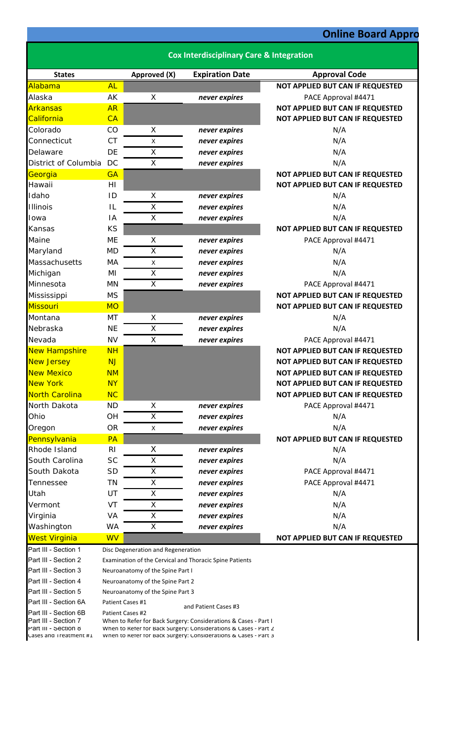## **Online Board Appro**

|                                                                        | <b>Cox Interdisciplinary Care &amp; Integration</b>                                                                                                                                                   |                                    |                                                         |                                         |
|------------------------------------------------------------------------|-------------------------------------------------------------------------------------------------------------------------------------------------------------------------------------------------------|------------------------------------|---------------------------------------------------------|-----------------------------------------|
| <b>States</b>                                                          |                                                                                                                                                                                                       | Approved (X)                       | <b>Expiration Date</b>                                  | <b>Approval Code</b>                    |
| Alabama                                                                | <b>AL</b>                                                                                                                                                                                             |                                    |                                                         | NOT APPLIED BUT CAN IF REQUESTED        |
| Alaska                                                                 | AK                                                                                                                                                                                                    | X                                  | never expires                                           | PACE Approval #4471                     |
| <b>Arkansas</b>                                                        | <b>AR</b>                                                                                                                                                                                             |                                    |                                                         | NOT APPLIED BUT CAN IF REQUESTED        |
| California                                                             | CA                                                                                                                                                                                                    |                                    |                                                         | NOT APPLIED BUT CAN IF REQUESTED        |
| Colorado                                                               | CO                                                                                                                                                                                                    | X                                  | never expires                                           | N/A                                     |
| Connecticut                                                            | <b>CT</b>                                                                                                                                                                                             | X                                  | never expires                                           | N/A                                     |
| Delaware                                                               | DE                                                                                                                                                                                                    | X                                  | never expires                                           | N/A                                     |
| District of Columbia                                                   | DC                                                                                                                                                                                                    | X                                  | never expires                                           | N/A                                     |
| Georgia                                                                | <b>GA</b>                                                                                                                                                                                             |                                    |                                                         | NOT APPLIED BUT CAN IF REQUESTED        |
| Hawaii                                                                 | HI                                                                                                                                                                                                    |                                    |                                                         | NOT APPLIED BUT CAN IF REQUESTED        |
| Idaho                                                                  | ID                                                                                                                                                                                                    | X                                  | never expires                                           | N/A                                     |
| <b>Illinois</b>                                                        | IL                                                                                                                                                                                                    | X                                  | never expires                                           | N/A                                     |
| Iowa                                                                   | IA                                                                                                                                                                                                    | X                                  | never expires                                           | N/A                                     |
| Kansas                                                                 | <b>KS</b>                                                                                                                                                                                             |                                    |                                                         | NOT APPLIED BUT CAN IF REQUESTED        |
| Maine                                                                  | ME                                                                                                                                                                                                    | Χ                                  | never expires                                           | PACE Approval #4471                     |
| Maryland                                                               | <b>MD</b>                                                                                                                                                                                             | X                                  | never expires                                           | N/A                                     |
| Massachusetts                                                          | MA                                                                                                                                                                                                    | X                                  | never expires                                           | N/A                                     |
| Michigan                                                               | ΜI                                                                                                                                                                                                    | X                                  | never expires                                           | N/A                                     |
| Minnesota                                                              | MN                                                                                                                                                                                                    | X                                  | never expires                                           | PACE Approval #4471                     |
| Mississippi                                                            | <b>MS</b>                                                                                                                                                                                             |                                    |                                                         | NOT APPLIED BUT CAN IF REQUESTED        |
| Missouri                                                               | <b>MO</b>                                                                                                                                                                                             |                                    |                                                         | NOT APPLIED BUT CAN IF REQUESTED        |
| Montana                                                                | MT                                                                                                                                                                                                    | X                                  | never expires                                           | N/A                                     |
| Nebraska                                                               | <b>NE</b>                                                                                                                                                                                             | $\sf X$                            | never expires                                           | N/A                                     |
| Nevada                                                                 | <b>NV</b>                                                                                                                                                                                             | Χ                                  | never expires                                           | PACE Approval #4471                     |
| New Hampshire                                                          | <b>NH</b>                                                                                                                                                                                             |                                    |                                                         | NOT APPLIED BUT CAN IF REQUESTED        |
| <b>New Jersey</b>                                                      | <b>NJ</b>                                                                                                                                                                                             |                                    |                                                         | NOT APPLIED BUT CAN IF REQUESTED        |
| <b>New Mexico</b>                                                      | <b>NM</b>                                                                                                                                                                                             |                                    |                                                         | <b>NOT APPLIED BUT CAN IF REQUESTED</b> |
| <b>New York</b>                                                        | <b>NY</b>                                                                                                                                                                                             |                                    |                                                         | NOT APPLIED BUT CAN IF REQUESTED        |
| <b>North Carolina</b>                                                  | <b>NC</b>                                                                                                                                                                                             |                                    |                                                         | NOT APPLIED BUT CAN IF REQUESTED        |
| North Dakota                                                           | <b>ND</b>                                                                                                                                                                                             | X                                  | never expires                                           | PACE Approval #4471                     |
| Ohio                                                                   | OH                                                                                                                                                                                                    | X                                  | never expires                                           | N/A                                     |
| Oregon                                                                 | <b>OR</b>                                                                                                                                                                                             | X                                  | never expires                                           | N/A                                     |
| Pennsylvania                                                           | PA                                                                                                                                                                                                    |                                    |                                                         | NOT APPLIED BUT CAN IF REQUESTED        |
| Rhode Island                                                           | R <sub>l</sub>                                                                                                                                                                                        | X                                  | never expires                                           | N/A                                     |
| South Carolina                                                         | <b>SC</b>                                                                                                                                                                                             | X                                  | never expires                                           | N/A                                     |
| South Dakota                                                           | <b>SD</b>                                                                                                                                                                                             | Χ                                  | never expires                                           | PACE Approval #4471                     |
| Tennessee                                                              | TN                                                                                                                                                                                                    | X                                  | never expires                                           | PACE Approval #4471                     |
| Utah                                                                   | UT                                                                                                                                                                                                    | X                                  | never expires                                           | N/A                                     |
| Vermont                                                                | VT                                                                                                                                                                                                    | X                                  | never expires                                           | N/A                                     |
| Virginia                                                               | VA                                                                                                                                                                                                    | X                                  | never expires                                           | N/A                                     |
| Washington                                                             | <b>WA</b>                                                                                                                                                                                             | X                                  | never expires                                           | N/A                                     |
| <b>West Virginia</b>                                                   | <b>WV</b>                                                                                                                                                                                             |                                    |                                                         | NOT APPLIED BUT CAN IF REQUESTED        |
| Part III - Section 1                                                   |                                                                                                                                                                                                       | Disc Degeneration and Regeneration |                                                         |                                         |
| Part III - Section 2                                                   |                                                                                                                                                                                                       |                                    | Examination of the Cervical and Thoracic Spine Patients |                                         |
| Part III - Section 3                                                   | Neuroanatomy of the Spine Part I                                                                                                                                                                      |                                    |                                                         |                                         |
| Part III - Section 4                                                   |                                                                                                                                                                                                       | Neuroanatomy of the Spine Part 2   |                                                         |                                         |
| Part III - Section 5                                                   |                                                                                                                                                                                                       | Neuroanatomy of the Spine Part 3   |                                                         |                                         |
| Part III - Section 6A                                                  | Patient Cases #1<br>and Patient Cases #3                                                                                                                                                              |                                    |                                                         |                                         |
| Part III - Section 6B                                                  | Patient Cases #2                                                                                                                                                                                      |                                    |                                                         |                                         |
| Part III - Section 7<br>Part III - Section 8<br>Lases and Treatment #1 | When to Refer for Back Surgery: Considerations & Cases - Part I<br>When to Refer for Back Surgery: Considerations & Cases - Part 2<br>When to Refer for Back Surgery: Considerations & Cases - Part 3 |                                    |                                                         |                                         |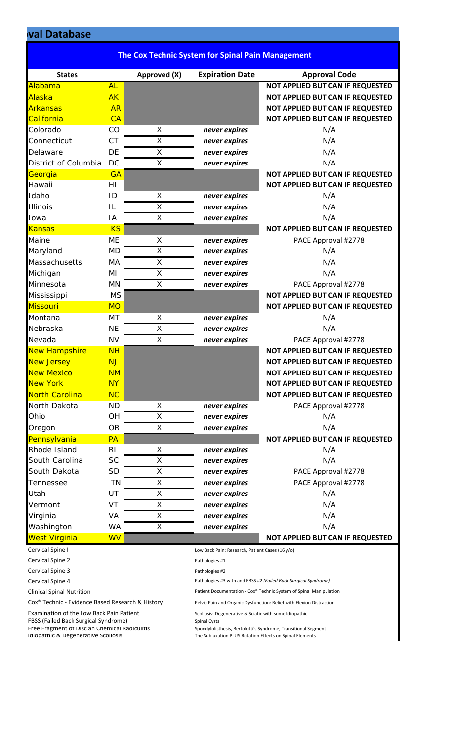## **oval Database**

|                       |                | <b>The Cox Technic System for Spinal Pain Management</b> |                                                 |                                  |
|-----------------------|----------------|----------------------------------------------------------|-------------------------------------------------|----------------------------------|
| <b>States</b>         |                | Approved (X)                                             | <b>Expiration Date</b>                          | <b>Approval Code</b>             |
| Alabama               | AL             |                                                          |                                                 | NOT APPLIED BUT CAN IF REQUESTED |
| Alaska                | <b>AK</b>      |                                                          |                                                 | NOT APPLIED BUT CAN IF REQUESTED |
| Arkansas              | <b>AR</b>      |                                                          |                                                 | NOT APPLIED BUT CAN IF REQUESTED |
| California            | CA             |                                                          |                                                 | NOT APPLIED BUT CAN IF REQUESTED |
| Colorado              | CO             | X                                                        | never expires                                   | N/A                              |
| Connecticut           | <b>CT</b>      | X                                                        | never expires                                   | N/A                              |
| Delaware              | DE             | X                                                        | never expires                                   | N/A                              |
| District of Columbia  | <b>DC</b>      | X                                                        | never expires                                   | N/A                              |
| Georgia               | GA             |                                                          |                                                 | NOT APPLIED BUT CAN IF REQUESTED |
| Hawaii                | HI             |                                                          |                                                 | NOT APPLIED BUT CAN IF REQUESTED |
| Idaho                 | ID             | X                                                        | never expires                                   | N/A                              |
| <b>Illinois</b>       | IL             | X                                                        | never expires                                   | N/A                              |
| Iowa                  | IA             | X                                                        | never expires                                   | N/A                              |
| <b>Kansas</b>         | <b>KS</b>      |                                                          |                                                 | NOT APPLIED BUT CAN IF REQUESTED |
| Maine                 | ME             | X                                                        | never expires                                   | PACE Approval #2778              |
| Maryland              | <b>MD</b>      | X                                                        | never expires                                   | N/A                              |
| Massachusetts         | MA             | X                                                        | never expires                                   | N/A                              |
| Michigan              | ΜI             | X                                                        | never expires                                   | N/A                              |
| Minnesota             | <b>MN</b>      | X                                                        | never expires                                   | PACE Approval #2778              |
| Mississippi           | <b>MS</b>      |                                                          |                                                 | NOT APPLIED BUT CAN IF REQUESTED |
| <b>Missouri</b>       | <b>MO</b>      |                                                          |                                                 | NOT APPLIED BUT CAN IF REQUESTED |
| Montana               | MT             | X                                                        | never expires                                   | N/A                              |
| Nebraska              | <b>NE</b>      | X                                                        | never expires                                   | N/A                              |
| Nevada                | <b>NV</b>      | X                                                        | never expires                                   | PACE Approval #2778              |
| <b>New Hampshire</b>  | <b>NH</b>      |                                                          |                                                 | NOT APPLIED BUT CAN IF REQUESTED |
| <b>New Jersey</b>     | <b>NJ</b>      |                                                          |                                                 | NOT APPLIED BUT CAN IF REQUESTED |
| <b>New Mexico</b>     | <b>NM</b>      |                                                          |                                                 | NOT APPLIED BUT CAN IF REQUESTED |
| <b>New York</b>       | <b>NY</b>      |                                                          |                                                 | NOT APPLIED BUT CAN IF REQUESTED |
| <b>North Carolina</b> | <b>NC</b>      |                                                          |                                                 | NOT APPLIED BUT CAN IF REQUESTED |
| North Dakota          | ND.            | X                                                        | never expires                                   | PACE Approval #2778              |
| Ohio                  | OH             | X                                                        | never expires                                   | N/A                              |
| Oregon                | <b>OR</b>      | X                                                        | never expires                                   | N/A                              |
| Pennsylvania          | PA             |                                                          |                                                 | NOT APPLIED BUT CAN IF REQUESTED |
| Rhode Island          | R <sub>l</sub> | X                                                        | never expires                                   | N/A                              |
| South Carolina        | <b>SC</b>      | X                                                        | never expires                                   | N/A                              |
| South Dakota          | <b>SD</b>      | X                                                        | never expires                                   | PACE Approval #2778              |
| Tennessee             | <b>TN</b>      | X                                                        | never expires                                   | PACE Approval #2778              |
| Utah                  | UT             | X                                                        | never expires                                   | N/A                              |
| Vermont               | VT             | X                                                        |                                                 | N/A                              |
|                       |                |                                                          | never expires                                   |                                  |
| Virginia              | VA             | X                                                        | never expires                                   | N/A                              |
| Washington            | <b>WA</b>      | X                                                        | never expires                                   | N/A                              |
| <b>West Virginia</b>  | <b>WV</b>      |                                                          |                                                 | NOT APPLIED BUT CAN IF REQUESTED |
| Cervical Spine I      |                |                                                          | Low Back Pain: Research, Patient Cases (16 y/o) |                                  |
| Cervical Spine 2      |                |                                                          | Pathologies #1                                  |                                  |
| Cervical Spine 3      |                |                                                          | Pathologies #2                                  |                                  |

Cox® Technic - Evidence Based Research & History Pelvic Pain and Organic Dysfunction: Relief with Flexion Distraction

Examination of the Low Back Pain Patient Scoliosis: Degenerative & Sciatic with some Idiopathic

FBSS (Failed Back Surgical Syndrome) Spinal Cysts Spinal Cysts Free Fragment of Disc an Chemical Radiculitis Idiopathic & Degenerative Scoliosis

Cervical Spine 4 Pathologies #3 with and FBSS #2 *(Failed Back Surgical Syndrome)*

Clinical Spinal Nutrition **Patient Documentation - Cox® Technic System of Spinal Manipulation** Patient Documentation - Cox<sup>®</sup> Technic System of Spinal Manipulation

Free Frangment Spondylolisthesis, Bertolotti's Syndrome, Transitional Segment<br>The Subluxation PLUS Rotation Effects on Spinal Elements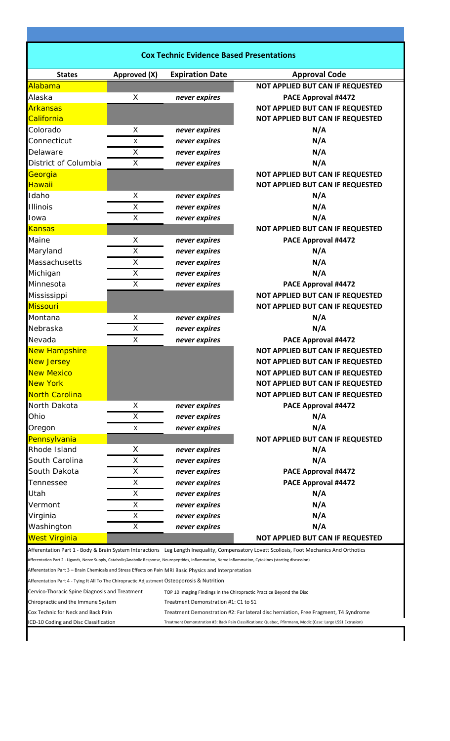| <b>Cox Technic Evidence Based Presentations</b>                                                                                                             |                                                                                                                                            |                                      |                                                                                                              |  |  |  |
|-------------------------------------------------------------------------------------------------------------------------------------------------------------|--------------------------------------------------------------------------------------------------------------------------------------------|--------------------------------------|--------------------------------------------------------------------------------------------------------------|--|--|--|
| <b>States</b>                                                                                                                                               | Approved (X)                                                                                                                               | <b>Expiration Date</b>               | <b>Approval Code</b>                                                                                         |  |  |  |
| Alabama                                                                                                                                                     |                                                                                                                                            |                                      | NOT APPLIED BUT CAN IF REQUESTED                                                                             |  |  |  |
| Alaska                                                                                                                                                      | X                                                                                                                                          | never expires                        | PACE Approval #4472                                                                                          |  |  |  |
| <b>Arkansas</b>                                                                                                                                             |                                                                                                                                            |                                      | NOT APPLIED BUT CAN IF REQUESTED                                                                             |  |  |  |
| California                                                                                                                                                  |                                                                                                                                            |                                      | NOT APPLIED BUT CAN IF REQUESTED                                                                             |  |  |  |
| Colorado                                                                                                                                                    | X                                                                                                                                          | never expires                        | N/A                                                                                                          |  |  |  |
| Connecticut                                                                                                                                                 | X                                                                                                                                          | never expires                        | N/A                                                                                                          |  |  |  |
| Delaware                                                                                                                                                    | X                                                                                                                                          | never expires                        | N/A                                                                                                          |  |  |  |
| District of Columbia                                                                                                                                        | X                                                                                                                                          | never expires                        | N/A                                                                                                          |  |  |  |
| Georgia                                                                                                                                                     |                                                                                                                                            |                                      | NOT APPLIED BUT CAN IF REQUESTED                                                                             |  |  |  |
| Hawaii                                                                                                                                                      |                                                                                                                                            |                                      | NOT APPLIED BUT CAN IF REQUESTED                                                                             |  |  |  |
| Idaho                                                                                                                                                       | X                                                                                                                                          | never expires                        | N/A                                                                                                          |  |  |  |
| <b>Illinois</b>                                                                                                                                             | X                                                                                                                                          | never expires                        | N/A                                                                                                          |  |  |  |
| Iowa                                                                                                                                                        | X                                                                                                                                          | never expires                        | N/A                                                                                                          |  |  |  |
| <b>Kansas</b>                                                                                                                                               |                                                                                                                                            |                                      | NOT APPLIED BUT CAN IF REQUESTED                                                                             |  |  |  |
| Maine                                                                                                                                                       | X                                                                                                                                          | never expires                        | PACE Approval #4472                                                                                          |  |  |  |
| Maryland                                                                                                                                                    | $\mathsf X$                                                                                                                                | never expires                        | N/A                                                                                                          |  |  |  |
| Massachusetts                                                                                                                                               | X                                                                                                                                          | never expires                        | N/A                                                                                                          |  |  |  |
| Michigan                                                                                                                                                    | $\mathsf X$                                                                                                                                | never expires                        | N/A                                                                                                          |  |  |  |
| Minnesota                                                                                                                                                   | X                                                                                                                                          | never expires                        | PACE Approval #4472                                                                                          |  |  |  |
| Mississippi                                                                                                                                                 |                                                                                                                                            |                                      | NOT APPLIED BUT CAN IF REQUESTED                                                                             |  |  |  |
| Missouri                                                                                                                                                    |                                                                                                                                            |                                      | NOT APPLIED BUT CAN IF REQUESTED                                                                             |  |  |  |
| Montana                                                                                                                                                     | X                                                                                                                                          | never expires                        | N/A                                                                                                          |  |  |  |
| Nebraska                                                                                                                                                    | X                                                                                                                                          | never expires                        | N/A                                                                                                          |  |  |  |
| Nevada                                                                                                                                                      | $\mathsf{X}$                                                                                                                               | never expires                        | PACE Approval #4472                                                                                          |  |  |  |
| New Hampshire                                                                                                                                               |                                                                                                                                            |                                      | NOT APPLIED BUT CAN IF REQUESTED                                                                             |  |  |  |
| <b>New Jersey</b>                                                                                                                                           |                                                                                                                                            |                                      | NOT APPLIED BUT CAN IF REQUESTED                                                                             |  |  |  |
| <b>New Mexico</b>                                                                                                                                           |                                                                                                                                            |                                      | NOT APPLIED BUT CAN IF REQUESTED                                                                             |  |  |  |
| <b>New York</b>                                                                                                                                             |                                                                                                                                            |                                      | NOT APPLIED BUT CAN IF REQUESTED                                                                             |  |  |  |
| North Carolina                                                                                                                                              |                                                                                                                                            |                                      | <b>NOT APPLIED BUT CAN IF REQUESTED</b>                                                                      |  |  |  |
| North Dakota                                                                                                                                                | X                                                                                                                                          | never expires                        | PACE Approval #4472                                                                                          |  |  |  |
| Ohio                                                                                                                                                        | X                                                                                                                                          | never expires                        | N/A                                                                                                          |  |  |  |
| Oregon                                                                                                                                                      | X                                                                                                                                          | never expires                        | N/A                                                                                                          |  |  |  |
| Pennsylvania                                                                                                                                                |                                                                                                                                            |                                      | <b>NOT APPLIED BUT CAN IF REQUESTED</b>                                                                      |  |  |  |
| Rhode Island                                                                                                                                                | X                                                                                                                                          | never expires                        | N/A                                                                                                          |  |  |  |
| South Carolina                                                                                                                                              | X                                                                                                                                          | never expires                        | N/A                                                                                                          |  |  |  |
| South Dakota                                                                                                                                                | X                                                                                                                                          | never expires                        | PACE Approval #4472                                                                                          |  |  |  |
| Tennessee                                                                                                                                                   | X                                                                                                                                          | never expires                        | PACE Approval #4472                                                                                          |  |  |  |
| Utah                                                                                                                                                        | X                                                                                                                                          | never expires                        | N/A                                                                                                          |  |  |  |
| Vermont                                                                                                                                                     | X                                                                                                                                          | never expires                        | N/A                                                                                                          |  |  |  |
| Virginia                                                                                                                                                    | X                                                                                                                                          | never expires                        | N/A                                                                                                          |  |  |  |
| Washington                                                                                                                                                  | X                                                                                                                                          | never expires                        | N/A                                                                                                          |  |  |  |
| <b>West Virginia</b>                                                                                                                                        |                                                                                                                                            |                                      | NOT APPLIED BUT CAN IF REQUESTED                                                                             |  |  |  |
|                                                                                                                                                             | Afferentation Part 1 - Body & Brain System Interactions Leg Length Inequality, Compensatory Lovett Scoliosis, Foot Mechanics And Orthotics |                                      |                                                                                                              |  |  |  |
| Afferentation Part 2 - Ligands, Nerve Supply, Catabolic/Anabolic Response, Neuropeptides, Inflammation, Nerve Inflammation, Cytokines (starting discussion) |                                                                                                                                            |                                      |                                                                                                              |  |  |  |
| Afferentation Part 3 - Brain Chemicals and Stress Effects on Pain MRI Basic Physics and Interpretation                                                      |                                                                                                                                            |                                      |                                                                                                              |  |  |  |
| Afferentation Part 4 - Tying It All To The Chiropractic Adjustment Osteoporosis & Nutrition                                                                 |                                                                                                                                            |                                      |                                                                                                              |  |  |  |
| Cervico-Thoracic Spine Diagnosis and Treatment<br>TOP 10 Imaging Findings in the Chiropractic Practice Beyond the Disc                                      |                                                                                                                                            |                                      |                                                                                                              |  |  |  |
| Chiropractic and the Immune System                                                                                                                          |                                                                                                                                            | Treatment Demonstration #1: C1 to S1 |                                                                                                              |  |  |  |
| Cox Technic for Neck and Back Pain                                                                                                                          |                                                                                                                                            |                                      | Treatment Demonstration #2: Far lateral disc herniation, Free Fragment, T4 Syndrome                          |  |  |  |
| ICD-10 Coding and Disc Classification                                                                                                                       |                                                                                                                                            |                                      | Treatment Demonstration #3: Back Pain Classifications: Quebec, Pfirrmann, Modic (Case: Large L5S1 Extrusion) |  |  |  |
|                                                                                                                                                             |                                                                                                                                            |                                      |                                                                                                              |  |  |  |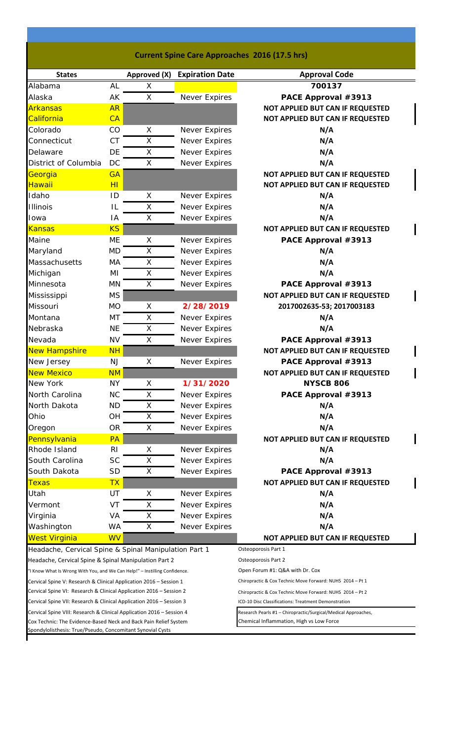| <b>Current Spine Care Approaches 2016 (17.5 hrs)</b> |  |  |
|------------------------------------------------------|--|--|
|------------------------------------------------------|--|--|

I

 $\mathbf{l}$ 

 $\overline{\mathbf{I}}$ 

 $\begin{array}{c} \hline \end{array}$ 

 $\overline{\phantom{a}}$ 

 $\mathbf l$ 

 $\begin{array}{c} \hline \end{array}$ 

 $\mathbf I$ 

| <b>States</b>                                                              |                | Approved (X) | <b>Expiration Date</b>                                    | <b>Approval Code</b>                                           |
|----------------------------------------------------------------------------|----------------|--------------|-----------------------------------------------------------|----------------------------------------------------------------|
| Alabama                                                                    | <b>AL</b>      | X            |                                                           | 700137                                                         |
| Alaska                                                                     | AK             | X            | Never Expires                                             | PACE Approval #3913                                            |
| <b>Arkansas</b>                                                            | <b>AR</b>      |              |                                                           | NOT APPLIED BUT CAN IF REQUESTED                               |
| California                                                                 | CA             |              |                                                           | NOT APPLIED BUT CAN IF REQUESTED                               |
| Colorado                                                                   | CO             | X            | Never Expires                                             | N/A                                                            |
| Connecticut                                                                | <b>CT</b>      | X            | Never Expires                                             | N/A                                                            |
| Delaware                                                                   | DE             | X            | Never Expires                                             | N/A                                                            |
| District of Columbia                                                       | DC             | X            | <b>Never Expires</b>                                      | N/A                                                            |
| Georgia                                                                    | <b>GA</b>      |              |                                                           | NOT APPLIED BUT CAN IF REQUESTED                               |
| <b>Hawaii</b>                                                              | H <sub>I</sub> |              |                                                           | NOT APPLIED BUT CAN IF REQUESTED                               |
| Idaho                                                                      | ID             | X            | Never Expires                                             | N/A                                                            |
| <b>Illinois</b>                                                            | IL             | X            | Never Expires                                             | N/A                                                            |
| Iowa                                                                       | IA             | X            | Never Expires                                             | N/A                                                            |
| <b>Kansas</b>                                                              | <b>KS</b>      |              |                                                           | NOT APPLIED BUT CAN IF REQUESTED                               |
| Maine                                                                      | ME             | X            | Never Expires                                             | PACE Approval #3913                                            |
| Maryland                                                                   | <b>MD</b>      | X            | <b>Never Expires</b>                                      | N/A                                                            |
| Massachusetts                                                              | <b>MA</b>      | $\mathsf X$  | Never Expires                                             | N/A                                                            |
| Michigan                                                                   | ΜI             | X            | Never Expires                                             | N/A                                                            |
| Minnesota                                                                  | <b>MN</b>      | X            | Never Expires                                             | PACE Approval #3913                                            |
| Mississippi                                                                | <b>MS</b>      |              |                                                           | NOT APPLIED BUT CAN IF REQUESTED                               |
| Missouri                                                                   | <b>MO</b>      | X            | 2/28/2019                                                 | 2017002635-53; 2017003183                                      |
| Montana                                                                    | MT             | X            | Never Expires                                             | N/A                                                            |
| Nebraska                                                                   | <b>NE</b>      | X            | Never Expires                                             | N/A                                                            |
| Nevada                                                                     | <b>NV</b>      | X            | Never Expires                                             | PACE Approval #3913                                            |
| <b>New Hampshire</b>                                                       | <b>NH</b>      |              |                                                           | NOT APPLIED BUT CAN IF REQUESTED                               |
| New Jersey                                                                 | <b>NJ</b>      | X            | Never Expires                                             | PACE Approval #3913                                            |
| <b>New Mexico</b>                                                          | <b>NM</b>      |              |                                                           | NOT APPLIED BUT CAN IF REQUESTED                               |
| New York                                                                   | <b>NY</b>      | X            | 1/31/2020                                                 | <b>NYSCB 806</b>                                               |
| North Carolina                                                             | <b>NC</b>      | X            | Never Expires                                             | PACE Approval #3913                                            |
| North Dakota                                                               |                |              |                                                           |                                                                |
|                                                                            | <b>ND</b>      | X            | <b>Never Expires</b>                                      | N/A                                                            |
| Ohio                                                                       | OH             | X            | Never Expires                                             | N/A                                                            |
| Oregon                                                                     | <b>OR</b>      | X            | Never Expires                                             | N/A                                                            |
| Pennsylvania                                                               | PA             |              |                                                           | NOT APPLIED BUT CAN IF REQUESTED                               |
| Rhode Island                                                               | <b>RI</b>      | X            | Never Expires                                             | N/A                                                            |
| South Carolina                                                             | <b>SC</b>      | Χ            | Never Expires                                             | N/A                                                            |
| South Dakota                                                               | <b>SD</b>      | X            | Never Expires                                             | PACE Approval #3913                                            |
| <b>Texas</b>                                                               | <b>TX</b>      |              |                                                           | NOT APPLIED BUT CAN IF REQUESTED                               |
| Utah                                                                       | UT             | X            | <b>Never Expires</b>                                      | N/A                                                            |
| Vermont                                                                    | VT             | X            | Never Expires                                             | N/A                                                            |
| Virginia                                                                   | VA             | X            | Never Expires                                             | N/A                                                            |
| Washington                                                                 | <b>WA</b>      | X            | Never Expires                                             | N/A                                                            |
| West Virginia                                                              | <b>WV</b>      |              |                                                           | NOT APPLIED BUT CAN IF REQUESTED                               |
| Headache, Cervical Spine & Spinal Manipulation Part 1                      |                |              |                                                           | Osteoporosis Part 1                                            |
| Headache, Cervical Spine & Spinal Manipulation Part 2                      |                |              |                                                           | Osteoporosis Part 2                                            |
| 'I Know What Is Wrong With You, and We Can Help!" - Instilling Confidence. |                |              | Open Forum #1: Q&A with Dr. Cox                           |                                                                |
| Cervical Spine V: Research & Clinical Application 2016 – Session 1         |                |              | Chiropractic & Cox Technic Move Forward: NUHS 2014 - Pt 1 |                                                                |
| Cervical Spine VI: Research & Clinical Application 2016 – Session 2        |                |              | Chiropractic & Cox Technic Move Forward: NUHS 2014 - Pt 2 |                                                                |
| Cervical Spine VII: Research & Clinical Application 2016 – Session 3       |                |              |                                                           | ICD-10 Disc Classifications: Treatment Demonstration           |
| Cervical Spine VIII: Research & Clinical Application 2016 – Session 4      |                |              |                                                           | Research Pearls #1 - Chiropractic/Surgical/Medical Approaches, |
| Cox Technic: The Evidence-Based Neck and Back Pain Relief System           |                |              | Chemical Inflammation, High vs Low Force                  |                                                                |
| Spondylolisthesis: True/Pseudo, Concomitant Synovial Cysts                 |                |              |                                                           |                                                                |